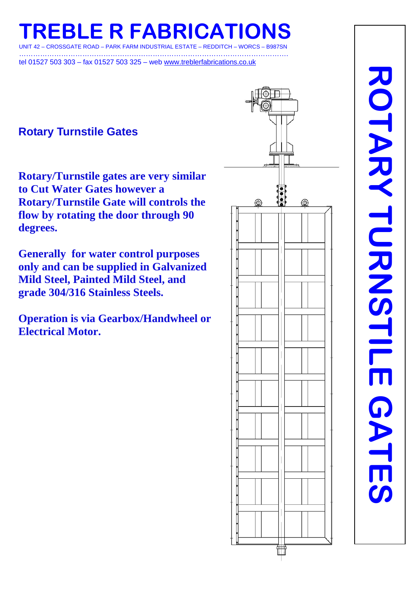**REBLE R FABRICATION** 

IT 42 – CROSSGATE ROAD – PARK FARM INDUSTRIAL ESTATE – REDDITCH – WORCS – B987SN …………………………………………………………………………………………………….

tel 01527 503 303 – fax 01527 503 325 – web www.treblerfabrications.co.uk

## **Rotary Turnstile Gates**

**Rotary/Turnstile gates are very similar to Cut Water Gates however a Rotary/Turnstile Gate will controls the flow by rotating the door through 90 degrees.** 

**Generally for water control purposes only and can be supplied in Galvanized Mild Steel, Painted Mild Steel, and grade 304/316 Stainless Steels.** 

**Operation is via Gearbox/Handwheel or Electrical Motor.** 

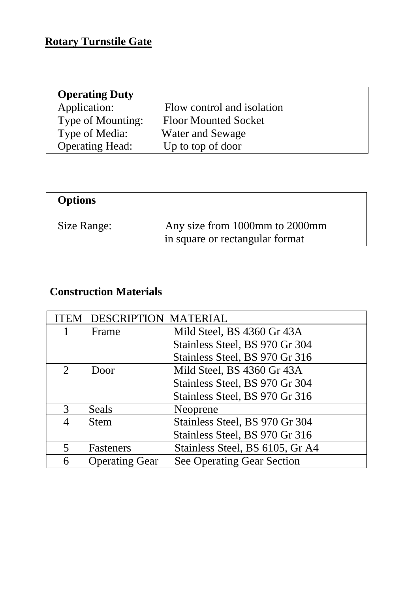## **Rotary Turnstile Gate**

| Application:<br>Flow control and isolation<br>Type of Mounting:<br><b>Floor Mounted Socket</b> | <b>Operating Duty</b> |                  |
|------------------------------------------------------------------------------------------------|-----------------------|------------------|
|                                                                                                |                       |                  |
|                                                                                                |                       |                  |
|                                                                                                | Type of Media:        | Water and Sewage |
| <b>Operating Head:</b><br>Up to top of door                                                    |                       |                  |

| Any size from 1000mm to 2000mm<br>in square or rectangular format |
|-------------------------------------------------------------------|
|                                                                   |

## **Construction Materials**

| FEM                      | <b>DESCRIPTION MATERIAL</b> |                                   |
|--------------------------|-----------------------------|-----------------------------------|
|                          | Frame                       | Mild Steel, BS 4360 Gr 43A        |
|                          |                             | Stainless Steel, BS 970 Gr 304    |
|                          |                             | Stainless Steel, BS 970 Gr 316    |
| $\mathcal{D}$            | Door                        | Mild Steel, BS 4360 Gr 43A        |
|                          |                             | Stainless Steel, BS 970 Gr 304    |
|                          |                             | Stainless Steel, BS 970 Gr 316    |
| 3                        | Seals                       | Neoprene                          |
|                          | <b>Stem</b>                 | Stainless Steel, BS 970 Gr 304    |
|                          |                             | Stainless Steel, BS 970 Gr 316    |
| $\overline{\mathcal{L}}$ | Fasteners                   | Stainless Steel, BS 6105, Gr A4   |
| 6                        | <b>Operating Gear</b>       | <b>See Operating Gear Section</b> |